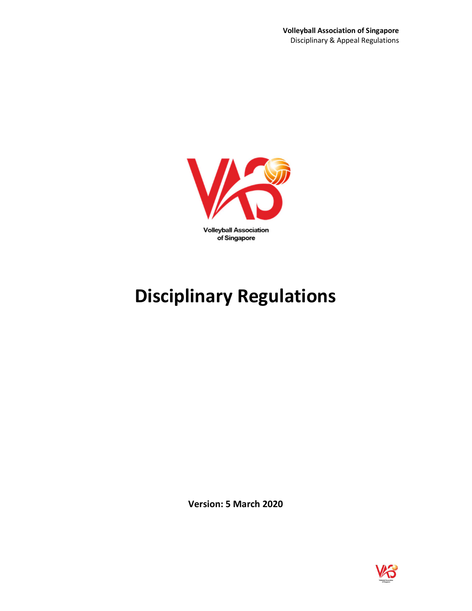

# Disciplinary Regulations

Version: 5 March 2020

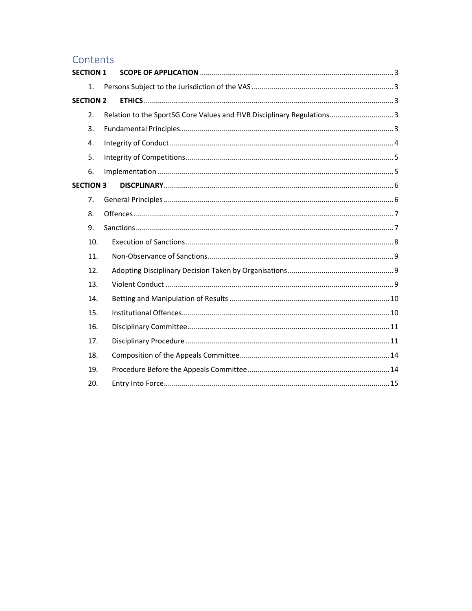# Contents

| <b>SECTION 1</b> |                                                                         |  |
|------------------|-------------------------------------------------------------------------|--|
| 1.               |                                                                         |  |
| <b>SECTION 2</b> |                                                                         |  |
| 2.               | Relation to the SportSG Core Values and FIVB Disciplinary Regulations 3 |  |
| 3.               |                                                                         |  |
| 4.               |                                                                         |  |
| 5.               |                                                                         |  |
| 6.               |                                                                         |  |
| <b>SECTION 3</b> |                                                                         |  |
| 7.               |                                                                         |  |
| 8.               |                                                                         |  |
| 9.               |                                                                         |  |
| 10.              |                                                                         |  |
| 11.              |                                                                         |  |
| 12.              |                                                                         |  |
| 13.              |                                                                         |  |
| 14.              |                                                                         |  |
| 15.              |                                                                         |  |
| 16.              |                                                                         |  |
| 17.              |                                                                         |  |
| 18.              |                                                                         |  |
| 19.              |                                                                         |  |
| 20.              |                                                                         |  |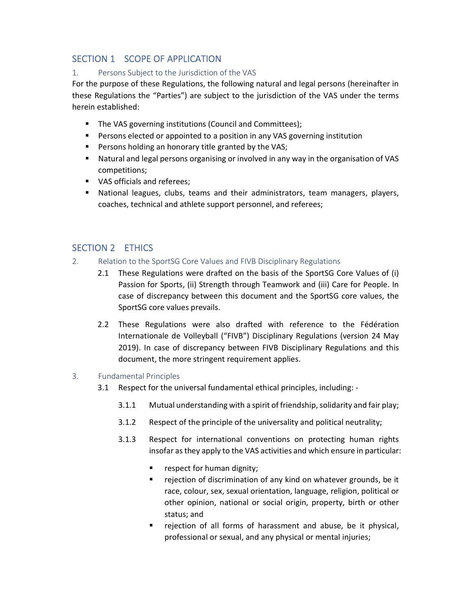# SECTION 1 SCOPE OF APPLICATION

# 1. Persons Subject to the Jurisdiction of the VAS

For the purpose of these Regulations, the following natural and legal persons (hereinafter in these Regulations the "Parties") are subject to the jurisdiction of the VAS under the terms herein established:

- **The VAS governing institutions (Council and Committees);**
- **Persons elected or appointed to a position in any VAS governing institution**
- **Persons holding an honorary title granted by the VAS;**
- Natural and legal persons organising or involved in any way in the organisation of VAS competitions;
- VAS officials and referees;
- National leagues, clubs, teams and their administrators, team managers, players, coaches, technical and athlete support personnel, and referees;

# SECTION 2 ETHICS

- 2. Relation to the SportSG Core Values and FIVB Disciplinary Regulations
	- 2.1 These Regulations were drafted on the basis of the SportSG Core Values of (i) Passion for Sports, (ii) Strength through Teamwork and (iii) Care for People. In case of discrepancy between this document and the SportSG core values, the SportSG core values prevails.
	- 2.2 These Regulations were also drafted with reference to the Fédération Internationale de Volleyball ("FIVB") Disciplinary Regulations (version 24 May 2019). In case of discrepancy between FIVB Disciplinary Regulations and this document, the more stringent requirement applies.

## 3. Fundamental Principles

- 3.1 Respect for the universal fundamental ethical principles, including:
	- 3.1.1 Mutual understanding with a spirit of friendship, solidarity and fair play;
	- 3.1.2 Respect of the principle of the universality and political neutrality;
	- 3.1.3 Respect for international conventions on protecting human rights insofar as they apply to the VAS activities and which ensure in particular:
		- respect for human dignity;
		- **F** rejection of discrimination of any kind on whatever grounds, be it race, colour, sex, sexual orientation, language, religion, political or other opinion, national or social origin, property, birth or other status; and
		- rejection of all forms of harassment and abuse, be it physical, professional or sexual, and any physical or mental injuries;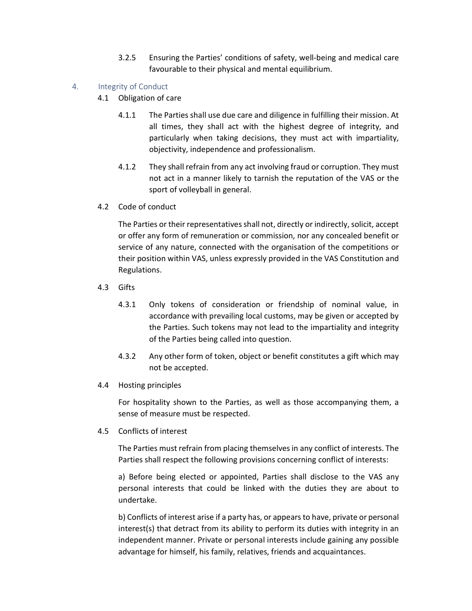- 3.2.5 Ensuring the Parties' conditions of safety, well-being and medical care favourable to their physical and mental equilibrium.
- 4. Integrity of Conduct
	- 4.1 Obligation of care
		- 4.1.1 The Parties shall use due care and diligence in fulfilling their mission. At all times, they shall act with the highest degree of integrity, and particularly when taking decisions, they must act with impartiality, objectivity, independence and professionalism.
		- 4.1.2 They shall refrain from any act involving fraud or corruption. They must not act in a manner likely to tarnish the reputation of the VAS or the sport of volleyball in general.
	- 4.2 Code of conduct

 The Parties or their representatives shall not, directly or indirectly, solicit, accept or offer any form of remuneration or commission, nor any concealed benefit or service of any nature, connected with the organisation of the competitions or their position within VAS, unless expressly provided in the VAS Constitution and Regulations.

- 4.3 Gifts
	- 4.3.1 Only tokens of consideration or friendship of nominal value, in accordance with prevailing local customs, may be given or accepted by the Parties. Such tokens may not lead to the impartiality and integrity of the Parties being called into question.
	- 4.3.2 Any other form of token, object or benefit constitutes a gift which may not be accepted.
- 4.4 Hosting principles

For hospitality shown to the Parties, as well as those accompanying them, a sense of measure must be respected.

4.5 Conflicts of interest

The Parties must refrain from placing themselves in any conflict of interests. The Parties shall respect the following provisions concerning conflict of interests:

a) Before being elected or appointed, Parties shall disclose to the VAS any personal interests that could be linked with the duties they are about to undertake.

b) Conflicts of interest arise if a party has, or appears to have, private or personal interest(s) that detract from its ability to perform its duties with integrity in an independent manner. Private or personal interests include gaining any possible advantage for himself, his family, relatives, friends and acquaintances.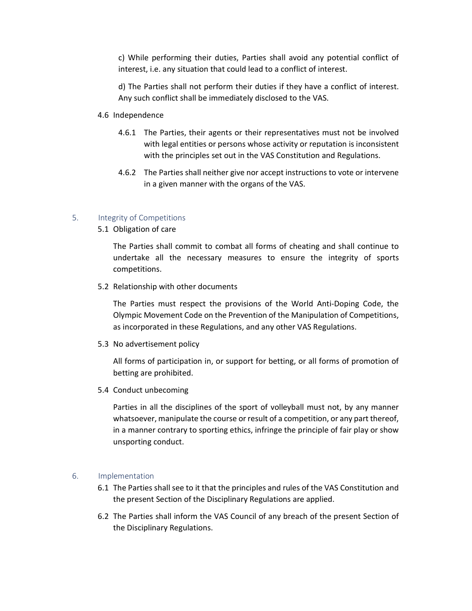c) While performing their duties, Parties shall avoid any potential conflict of interest, i.e. any situation that could lead to a conflict of interest.

d) The Parties shall not perform their duties if they have a conflict of interest. Any such conflict shall be immediately disclosed to the VAS.

#### 4.6 Independence

- 4.6.1 The Parties, their agents or their representatives must not be involved with legal entities or persons whose activity or reputation is inconsistent with the principles set out in the VAS Constitution and Regulations.
- 4.6.2 The Parties shall neither give nor accept instructions to vote or intervene in a given manner with the organs of the VAS.

#### 5. Integrity of Competitions

5.1 Obligation of care

The Parties shall commit to combat all forms of cheating and shall continue to undertake all the necessary measures to ensure the integrity of sports competitions.

5.2 Relationship with other documents

The Parties must respect the provisions of the World Anti-Doping Code, the Olympic Movement Code on the Prevention of the Manipulation of Competitions, as incorporated in these Regulations, and any other VAS Regulations.

5.3 No advertisement policy

All forms of participation in, or support for betting, or all forms of promotion of betting are prohibited.

5.4 Conduct unbecoming

Parties in all the disciplines of the sport of volleyball must not, by any manner whatsoever, manipulate the course or result of a competition, or any part thereof, in a manner contrary to sporting ethics, infringe the principle of fair play or show unsporting conduct.

#### 6. Implementation

- 6.1 The Parties shall see to it that the principles and rules of the VAS Constitution and the present Section of the Disciplinary Regulations are applied.
- 6.2 The Parties shall inform the VAS Council of any breach of the present Section of the Disciplinary Regulations.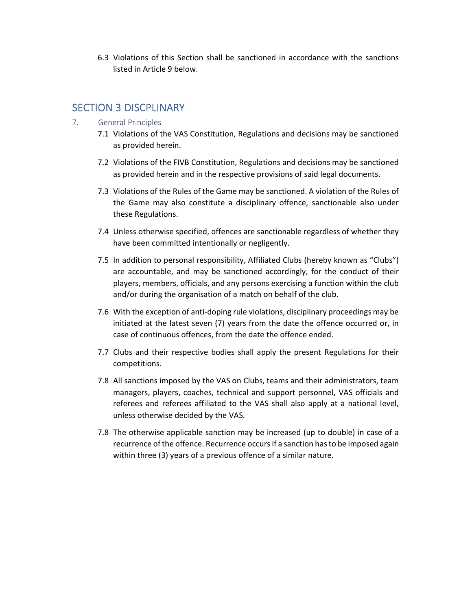6.3 Violations of this Section shall be sanctioned in accordance with the sanctions listed in Article 9 below.

# SECTION 3 DISCPLINARY

- 7. General Principles
	- 7.1 Violations of the VAS Constitution, Regulations and decisions may be sanctioned as provided herein.
	- 7.2 Violations of the FIVB Constitution, Regulations and decisions may be sanctioned as provided herein and in the respective provisions of said legal documents.
	- 7.3 Violations of the Rules of the Game may be sanctioned. A violation of the Rules of the Game may also constitute a disciplinary offence, sanctionable also under these Regulations.
	- 7.4 Unless otherwise specified, offences are sanctionable regardless of whether they have been committed intentionally or negligently.
	- 7.5 In addition to personal responsibility, Affiliated Clubs (hereby known as "Clubs") are accountable, and may be sanctioned accordingly, for the conduct of their players, members, officials, and any persons exercising a function within the club and/or during the organisation of a match on behalf of the club.
	- 7.6 With the exception of anti-doping rule violations, disciplinary proceedings may be initiated at the latest seven (7) years from the date the offence occurred or, in case of continuous offences, from the date the offence ended.
	- 7.7 Clubs and their respective bodies shall apply the present Regulations for their competitions.
	- 7.8 All sanctions imposed by the VAS on Clubs, teams and their administrators, team managers, players, coaches, technical and support personnel, VAS officials and referees and referees affiliated to the VAS shall also apply at a national level, unless otherwise decided by the VAS.
	- 7.8 The otherwise applicable sanction may be increased (up to double) in case of a recurrence of the offence. Recurrence occurs if a sanction has to be imposed again within three (3) years of a previous offence of a similar nature.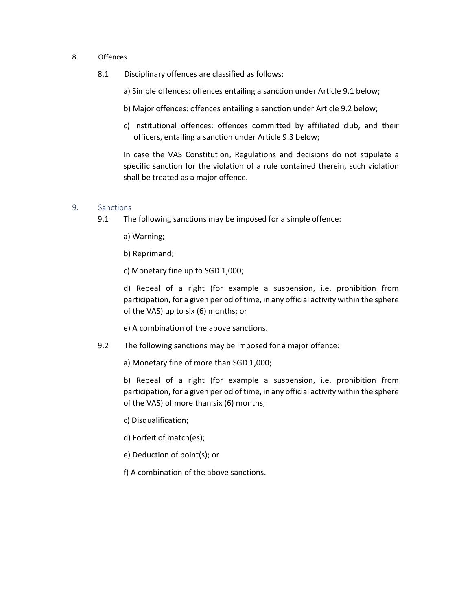#### 8. Offences

- 8.1 Disciplinary offences are classified as follows:
	- a) Simple offences: offences entailing a sanction under Article 9.1 below;
	- b) Major offences: offences entailing a sanction under Article 9.2 below;
	- c) Institutional offences: offences committed by affiliated club, and their officers, entailing a sanction under Article 9.3 below;

In case the VAS Constitution, Regulations and decisions do not stipulate a specific sanction for the violation of a rule contained therein, such violation shall be treated as a major offence.

#### 9. Sanctions

9.1 The following sanctions may be imposed for a simple offence:

a) Warning;

b) Reprimand;

c) Monetary fine up to SGD 1,000;

d) Repeal of a right (for example a suspension, i.e. prohibition from participation, for a given period of time, in any official activity within the sphere of the VAS) up to six (6) months; or

e) A combination of the above sanctions.

- 9.2 The following sanctions may be imposed for a major offence:
	- a) Monetary fine of more than SGD 1,000;

b) Repeal of a right (for example a suspension, i.e. prohibition from participation, for a given period of time, in any official activity within the sphere of the VAS) of more than six (6) months;

c) Disqualification;

d) Forfeit of match(es);

- e) Deduction of point(s); or
- f) A combination of the above sanctions.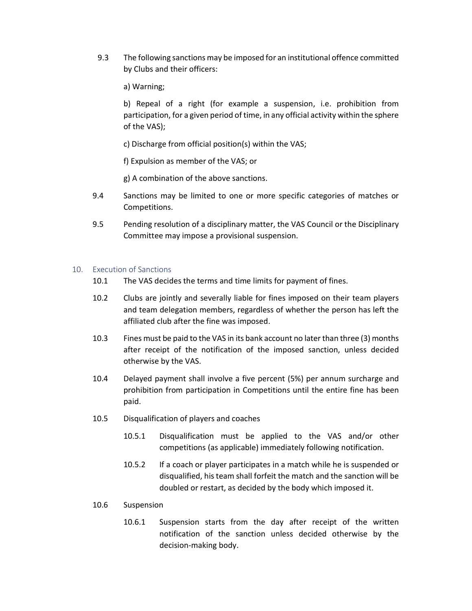9.3 The following sanctions may be imposed for an institutional offence committed by Clubs and their officers:

a) Warning;

b) Repeal of a right (for example a suspension, i.e. prohibition from participation, for a given period of time, in any official activity within the sphere of the VAS);

c) Discharge from official position(s) within the VAS;

f) Expulsion as member of the VAS; or

g) A combination of the above sanctions.

- 9.4 Sanctions may be limited to one or more specific categories of matches or Competitions.
- 9.5 Pending resolution of a disciplinary matter, the VAS Council or the Disciplinary Committee may impose a provisional suspension.

#### 10. Execution of Sanctions

- 10.1 The VAS decides the terms and time limits for payment of fines.
- 10.2 Clubs are jointly and severally liable for fines imposed on their team players and team delegation members, regardless of whether the person has left the affiliated club after the fine was imposed.
- 10.3 Fines must be paid to the VAS in its bank account no later than three (3) months after receipt of the notification of the imposed sanction, unless decided otherwise by the VAS.
- 10.4 Delayed payment shall involve a five percent (5%) per annum surcharge and prohibition from participation in Competitions until the entire fine has been paid.
- 10.5 Disqualification of players and coaches
	- 10.5.1 Disqualification must be applied to the VAS and/or other competitions (as applicable) immediately following notification.
	- 10.5.2 If a coach or player participates in a match while he is suspended or disqualified, his team shall forfeit the match and the sanction will be doubled or restart, as decided by the body which imposed it.

#### 10.6 Suspension

10.6.1 Suspension starts from the day after receipt of the written notification of the sanction unless decided otherwise by the decision-making body.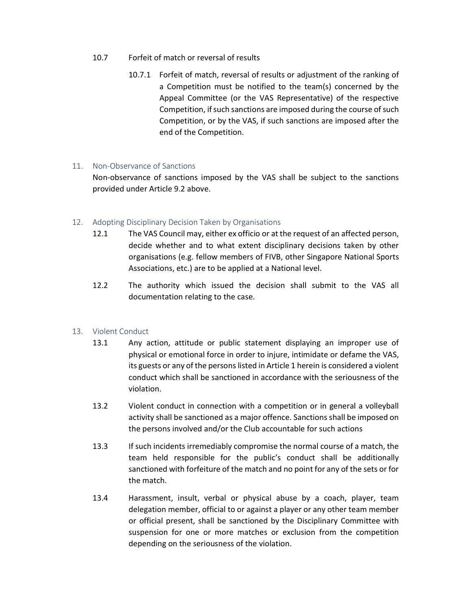- 10.7 Forfeit of match or reversal of results
	- 10.7.1 Forfeit of match, reversal of results or adjustment of the ranking of a Competition must be notified to the team(s) concerned by the Appeal Committee (or the VAS Representative) of the respective Competition, if such sanctions are imposed during the course of such Competition, or by the VAS, if such sanctions are imposed after the end of the Competition.

### 11. Non-Observance of Sanctions

Non-observance of sanctions imposed by the VAS shall be subject to the sanctions provided under Article 9.2 above.

### 12. Adopting Disciplinary Decision Taken by Organisations

- 12.1 The VAS Council may, either ex officio or at the request of an affected person, decide whether and to what extent disciplinary decisions taken by other organisations (e.g. fellow members of FIVB, other Singapore National Sports Associations, etc.) are to be applied at a National level.
- 12.2 The authority which issued the decision shall submit to the VAS all documentation relating to the case.

#### 13. Violent Conduct

- 13.1 Any action, attitude or public statement displaying an improper use of physical or emotional force in order to injure, intimidate or defame the VAS, its guests or any of the persons listed in Article 1 herein is considered a violent conduct which shall be sanctioned in accordance with the seriousness of the violation.
- 13.2 Violent conduct in connection with a competition or in general a volleyball activity shall be sanctioned as a major offence. Sanctions shall be imposed on the persons involved and/or the Club accountable for such actions
- 13.3 If such incidents irremediably compromise the normal course of a match, the team held responsible for the public's conduct shall be additionally sanctioned with forfeiture of the match and no point for any of the sets or for the match.
- 13.4 Harassment, insult, verbal or physical abuse by a coach, player, team delegation member, official to or against a player or any other team member or official present, shall be sanctioned by the Disciplinary Committee with suspension for one or more matches or exclusion from the competition depending on the seriousness of the violation.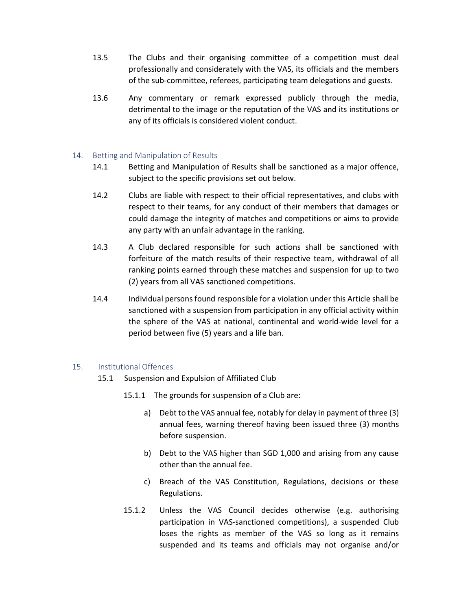- 13.5 The Clubs and their organising committee of a competition must deal professionally and considerately with the VAS, its officials and the members of the sub-committee, referees, participating team delegations and guests.
- 13.6 Any commentary or remark expressed publicly through the media, detrimental to the image or the reputation of the VAS and its institutions or any of its officials is considered violent conduct.

### 14. Betting and Manipulation of Results

- 14.1 Betting and Manipulation of Results shall be sanctioned as a major offence, subject to the specific provisions set out below.
- 14.2 Clubs are liable with respect to their official representatives, and clubs with respect to their teams, for any conduct of their members that damages or could damage the integrity of matches and competitions or aims to provide any party with an unfair advantage in the ranking.
- 14.3 A Club declared responsible for such actions shall be sanctioned with forfeiture of the match results of their respective team, withdrawal of all ranking points earned through these matches and suspension for up to two (2) years from all VAS sanctioned competitions.
- 14.4 Individual persons found responsible for a violation under this Article shall be sanctioned with a suspension from participation in any official activity within the sphere of the VAS at national, continental and world-wide level for a period between five (5) years and a life ban.

#### 15. Institutional Offences

- 15.1 Suspension and Expulsion of Affiliated Club
	- 15.1.1 The grounds for suspension of a Club are:
		- a) Debt to the VAS annual fee, notably for delay in payment of three (3) annual fees, warning thereof having been issued three (3) months before suspension.
		- b) Debt to the VAS higher than SGD 1,000 and arising from any cause other than the annual fee.
		- c) Breach of the VAS Constitution, Regulations, decisions or these Regulations.
	- 15.1.2 Unless the VAS Council decides otherwise (e.g. authorising participation in VAS-sanctioned competitions), a suspended Club loses the rights as member of the VAS so long as it remains suspended and its teams and officials may not organise and/or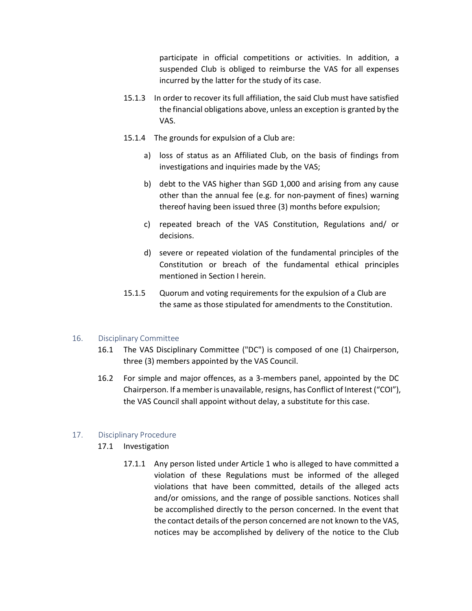participate in official competitions or activities. In addition, a suspended Club is obliged to reimburse the VAS for all expenses incurred by the latter for the study of its case.

- 15.1.3 In order to recover its full affiliation, the said Club must have satisfied the financial obligations above, unless an exception is granted by the VAS.
- 15.1.4 The grounds for expulsion of a Club are:
	- a) loss of status as an Affiliated Club, on the basis of findings from investigations and inquiries made by the VAS;
	- b) debt to the VAS higher than SGD 1,000 and arising from any cause other than the annual fee (e.g. for non-payment of fines) warning thereof having been issued three (3) months before expulsion;
	- c) repeated breach of the VAS Constitution, Regulations and/ or decisions.
	- d) severe or repeated violation of the fundamental principles of the Constitution or breach of the fundamental ethical principles mentioned in Section I herein.
- 15.1.5 Quorum and voting requirements for the expulsion of a Club are the same as those stipulated for amendments to the Constitution.

## 16. Disciplinary Committee

- 16.1 The VAS Disciplinary Committee ("DC") is composed of one (1) Chairperson, three (3) members appointed by the VAS Council.
- 16.2 For simple and major offences, as a 3-members panel, appointed by the DC Chairperson. If a member is unavailable, resigns, has Conflict of Interest ("COI"), the VAS Council shall appoint without delay, a substitute for this case.

## 17. Disciplinary Procedure

- 17.1 Investigation
	- 17.1.1 Any person listed under Article 1 who is alleged to have committed a violation of these Regulations must be informed of the alleged violations that have been committed, details of the alleged acts and/or omissions, and the range of possible sanctions. Notices shall be accomplished directly to the person concerned. In the event that the contact details of the person concerned are not known to the VAS, notices may be accomplished by delivery of the notice to the Club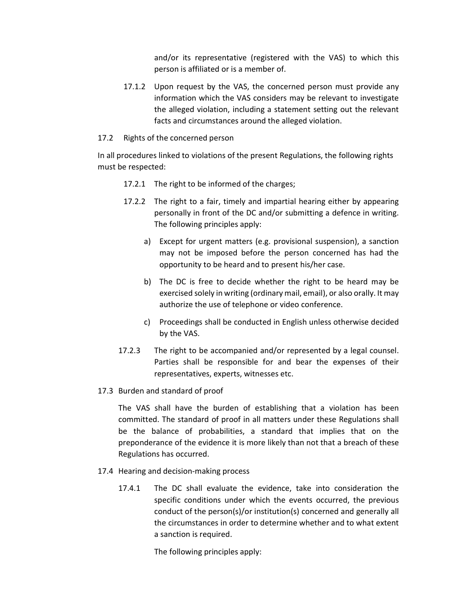and/or its representative (registered with the VAS) to which this person is affiliated or is a member of.

- 17.1.2 Upon request by the VAS, the concerned person must provide any information which the VAS considers may be relevant to investigate the alleged violation, including a statement setting out the relevant facts and circumstances around the alleged violation.
- 17.2 Rights of the concerned person

In all procedures linked to violations of the present Regulations, the following rights must be respected:

- 17.2.1 The right to be informed of the charges;
- 17.2.2 The right to a fair, timely and impartial hearing either by appearing personally in front of the DC and/or submitting a defence in writing. The following principles apply:
	- a) Except for urgent matters (e.g. provisional suspension), a sanction may not be imposed before the person concerned has had the opportunity to be heard and to present his/her case.
	- b) The DC is free to decide whether the right to be heard may be exercised solely in writing (ordinary mail, email), or also orally. It may authorize the use of telephone or video conference.
	- c) Proceedings shall be conducted in English unless otherwise decided by the VAS.
- 17.2.3 The right to be accompanied and/or represented by a legal counsel. Parties shall be responsible for and bear the expenses of their representatives, experts, witnesses etc.

## 17.3 Burden and standard of proof

 The VAS shall have the burden of establishing that a violation has been committed. The standard of proof in all matters under these Regulations shall be the balance of probabilities, a standard that implies that on the preponderance of the evidence it is more likely than not that a breach of these Regulations has occurred.

- 17.4 Hearing and decision-making process
	- 17.4.1 The DC shall evaluate the evidence, take into consideration the specific conditions under which the events occurred, the previous conduct of the person(s)/or institution(s) concerned and generally all the circumstances in order to determine whether and to what extent a sanction is required.

The following principles apply: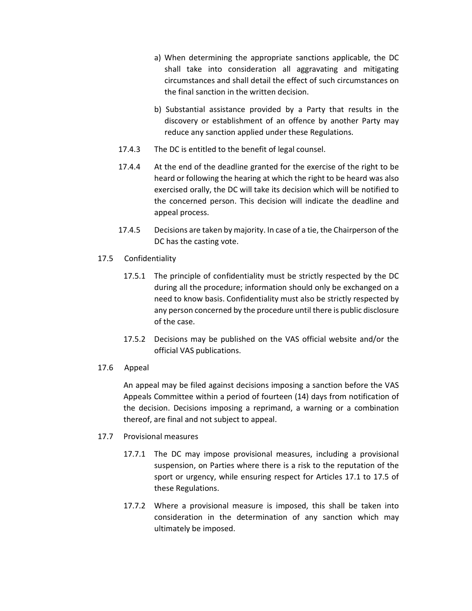- a) When determining the appropriate sanctions applicable, the DC shall take into consideration all aggravating and mitigating circumstances and shall detail the effect of such circumstances on the final sanction in the written decision.
- b) Substantial assistance provided by a Party that results in the discovery or establishment of an offence by another Party may reduce any sanction applied under these Regulations.
- 17.4.3 The DC is entitled to the benefit of legal counsel.
- 17.4.4 At the end of the deadline granted for the exercise of the right to be heard or following the hearing at which the right to be heard was also exercised orally, the DC will take its decision which will be notified to the concerned person. This decision will indicate the deadline and appeal process.
- 17.4.5 Decisions are taken by majority. In case of a tie, the Chairperson of the DC has the casting vote.
- 17.5 Confidentiality
	- 17.5.1 The principle of confidentiality must be strictly respected by the DC during all the procedure; information should only be exchanged on a need to know basis. Confidentiality must also be strictly respected by any person concerned by the procedure until there is public disclosure of the case.
	- 17.5.2 Decisions may be published on the VAS official website and/or the official VAS publications.
- 17.6 Appeal

 An appeal may be filed against decisions imposing a sanction before the VAS Appeals Committee within a period of fourteen (14) days from notification of the decision. Decisions imposing a reprimand, a warning or a combination thereof, are final and not subject to appeal.

- 17.7 Provisional measures
	- 17.7.1 The DC may impose provisional measures, including a provisional suspension, on Parties where there is a risk to the reputation of the sport or urgency, while ensuring respect for Articles 17.1 to 17.5 of these Regulations.
	- 17.7.2 Where a provisional measure is imposed, this shall be taken into consideration in the determination of any sanction which may ultimately be imposed.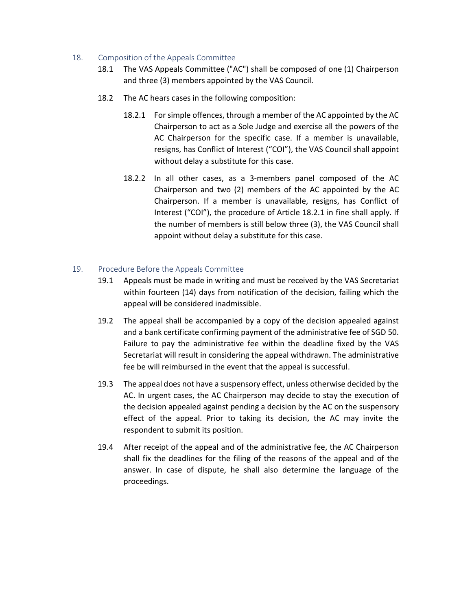### 18. Composition of the Appeals Committee

- 18.1 The VAS Appeals Committee ("AC") shall be composed of one (1) Chairperson and three (3) members appointed by the VAS Council.
- 18.2 The AC hears cases in the following composition:
	- 18.2.1 For simple offences, through a member of the AC appointed by the AC Chairperson to act as a Sole Judge and exercise all the powers of the AC Chairperson for the specific case. If a member is unavailable, resigns, has Conflict of Interest ("COI"), the VAS Council shall appoint without delay a substitute for this case.
	- 18.2.2 In all other cases, as a 3-members panel composed of the AC Chairperson and two (2) members of the AC appointed by the AC Chairperson. If a member is unavailable, resigns, has Conflict of Interest ("COI"), the procedure of Article 18.2.1 in fine shall apply. If the number of members is still below three (3), the VAS Council shall appoint without delay a substitute for this case.

### 19. Procedure Before the Appeals Committee

- 19.1 Appeals must be made in writing and must be received by the VAS Secretariat within fourteen (14) days from notification of the decision, failing which the appeal will be considered inadmissible.
- 19.2 The appeal shall be accompanied by a copy of the decision appealed against and a bank certificate confirming payment of the administrative fee of SGD 50. Failure to pay the administrative fee within the deadline fixed by the VAS Secretariat will result in considering the appeal withdrawn. The administrative fee be will reimbursed in the event that the appeal is successful.
- 19.3 The appeal does not have a suspensory effect, unless otherwise decided by the AC. In urgent cases, the AC Chairperson may decide to stay the execution of the decision appealed against pending a decision by the AC on the suspensory effect of the appeal. Prior to taking its decision, the AC may invite the respondent to submit its position.
- 19.4 After receipt of the appeal and of the administrative fee, the AC Chairperson shall fix the deadlines for the filing of the reasons of the appeal and of the answer. In case of dispute, he shall also determine the language of the proceedings.